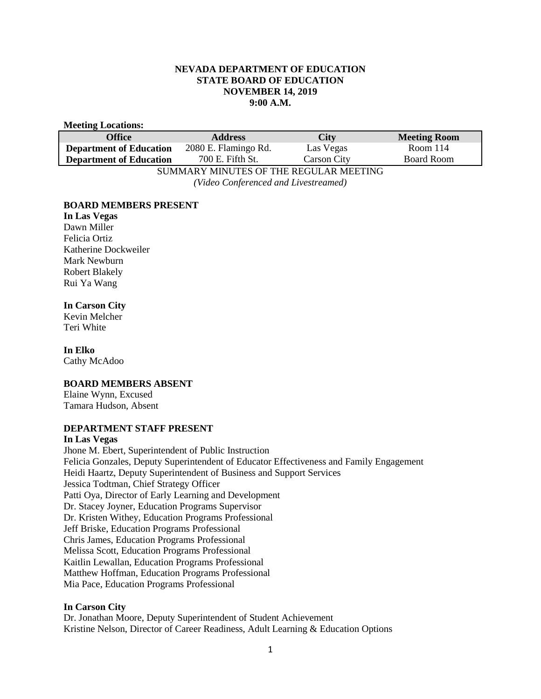## **NEVADA DEPARTMENT OF EDUCATION STATE BOARD OF EDUCATION NOVEMBER 14, 2019 9:00 A.M.**

### **Meeting Locations:**

| Office                                 | <b>Address</b>       | <b>City</b>        | <b>Meeting Room</b> |
|----------------------------------------|----------------------|--------------------|---------------------|
| <b>Department of Education</b>         | 2080 E. Flamingo Rd. | Las Vegas          | Room 114            |
| <b>Department of Education</b>         | 700 E. Fifth St.     | <b>Carson City</b> | <b>Board Room</b>   |
| SUMMARY MINUTES OF THE REGULAR MEETING |                      |                    |                     |

*(Video Conferenced and Livestreamed)* 

## **BOARD MEMBERS PRESENT**

**In Las Vegas** Dawn Miller Felicia Ortiz Katherine Dockweiler Mark Newburn Robert Blakely Rui Ya Wang

# **In Carson City**

Kevin Melcher Teri White

# **In Elko**

Cathy McAdoo

# **BOARD MEMBERS ABSENT**

Elaine Wynn, Excused Tamara Hudson, Absent

## **DEPARTMENT STAFF PRESENT**

### **In Las Vegas**

Jhone M. Ebert, Superintendent of Public Instruction Felicia Gonzales, Deputy Superintendent of Educator Effectiveness and Family Engagement Heidi Haartz, Deputy Superintendent of Business and Support Services Jessica Todtman, Chief Strategy Officer Patti Oya, Director of Early Learning and Development Dr. Stacey Joyner, Education Programs Supervisor Dr. Kristen Withey, Education Programs Professional Jeff Briske, Education Programs Professional Chris James, Education Programs Professional Melissa Scott, Education Programs Professional Kaitlin Lewallan, Education Programs Professional Matthew Hoffman, Education Programs Professional Mia Pace, Education Programs Professional

# **In Carson City**

Dr. Jonathan Moore, Deputy Superintendent of Student Achievement Kristine Nelson, Director of Career Readiness, Adult Learning & Education Options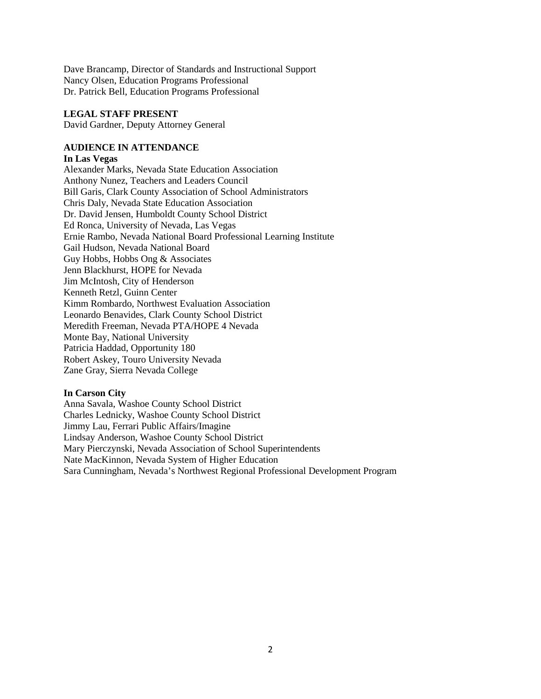Dave Brancamp, Director of Standards and Instructional Support Nancy Olsen, Education Programs Professional Dr. Patrick Bell, Education Programs Professional

## **LEGAL STAFF PRESENT**

David Gardner, Deputy Attorney General

## **AUDIENCE IN ATTENDANCE**

### **In Las Vegas**

Alexander Marks, Nevada State Education Association Anthony Nunez, Teachers and Leaders Council Bill Garis, Clark County Association of School Administrators Chris Daly, Nevada State Education Association Dr. David Jensen, Humboldt County School District Ed Ronca, University of Nevada, Las Vegas Ernie Rambo, Nevada National Board Professional Learning Institute Gail Hudson, Nevada National Board Guy Hobbs, Hobbs Ong & Associates Jenn Blackhurst, HOPE for Nevada Jim McIntosh, City of Henderson Kenneth Retzl, Guinn Center Kimm Rombardo, Northwest Evaluation Association Leonardo Benavides, Clark County School District Meredith Freeman, Nevada PTA/HOPE 4 Nevada Monte Bay, National University Patricia Haddad, Opportunity 180 Robert Askey, Touro University Nevada Zane Gray, Sierra Nevada College

### **In Carson City**

Anna Savala, Washoe County School District Charles Lednicky, Washoe County School District Jimmy Lau, Ferrari Public Affairs/Imagine Lindsay Anderson, Washoe County School District Mary Pierczynski, Nevada Association of School Superintendents Nate MacKinnon, Nevada System of Higher Education Sara Cunningham, Nevada's Northwest Regional Professional Development Program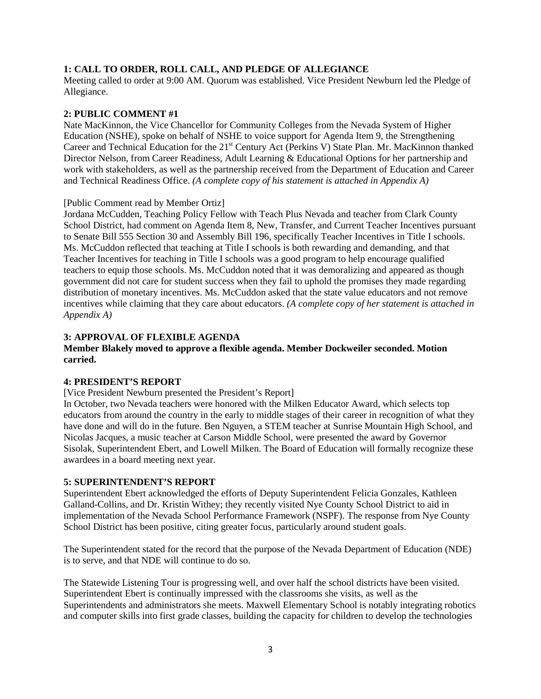## **1: CALL TO ORDER, ROLL CALL, AND PLEDGE OF ALLEGIANCE**

Meeting called to order at 9:00 AM. Quorum was established. Vice President Newburn led the Pledge of Allegiance.

## **2: PUBLIC COMMENT #1**

Nate MacKinnon, the Vice Chancellor for Community Colleges from the Nevada System of Higher Education (NSHE), spoke on behalf of NSHE to voice support for Agenda Item 9, the Strengthening Career and Technical Education for the 21<sup>st</sup> Century Act (Perkins V) State Plan. Mr. MacKinnon thanked Director Nelson, from Career Readiness, Adult Learning & Educational Options for her partnership and work with stakeholders, as well as the partnership received from the Department of Education and Career and Technical Readiness Office. *(A complete copy of his statement is attached in Appendix A)*

### [Public Comment read by Member Ortiz]

Jordana McCudden, Teaching Policy Fellow with Teach Plus Nevada and teacher from Clark County School District, had comment on Agenda Item 8, New, Transfer, and Current Teacher Incentives pursuant to Senate Bill 555 Section 30 and Assembly Bill 196, specifically Teacher Incentives in Title I schools. Ms. McCuddon reflected that teaching at Title I schools is both rewarding and demanding, and that Teacher Incentives for teaching in Title I schools was a good program to help encourage qualified teachers to equip those schools. Ms. McCuddon noted that it was demoralizing and appeared as though government did not care for student success when they fail to uphold the promises they made regarding distribution of monetary incentives. Ms. McCuddon asked that the state value educators and not remove incentives while claiming that they care about educators. *(A complete copy of her statement is attached in Appendix A)* 

# **3: APPROVAL OF FLEXIBLE AGENDA**

## **Member Blakely moved to approve a flexible agenda. Member Dockweiler seconded. Motion carried.**

## **4: PRESIDENT'S REPORT**

[Vice President Newburn presented the President's Report]

In October, two Nevada teachers were honored with the Milken Educator Award, which selects top educators from around the country in the early to middle stages of their career in recognition of what they have done and will do in the future. Ben Nguyen, a STEM teacher at Sunrise Mountain High School, and Nicolas Jacques, a music teacher at Carson Middle School, were presented the award by Governor Sisolak, Superintendent Ebert, and Lowell Milken. The Board of Education will formally recognize these awardees in a board meeting next year.

## **5: SUPERINTENDENT'S REPORT**

Superintendent Ebert acknowledged the efforts of Deputy Superintendent Felicia Gonzales, Kathleen Galland-Collins, and Dr. Kristin Withey; they recently visited Nye County School District to aid in implementation of the Nevada School Performance Framework (NSPF). The response from Nye County School District has been positive, citing greater focus, particularly around student goals.

The Superintendent stated for the record that the purpose of the Nevada Department of Education (NDE) is to serve, and that NDE will continue to do so.

The Statewide Listening Tour is progressing well, and over half the school districts have been visited. Superintendent Ebert is continually impressed with the classrooms she visits, as well as the Superintendents and administrators she meets. Maxwell Elementary School is notably integrating robotics and computer skills into first grade classes, building the capacity for children to develop the technologies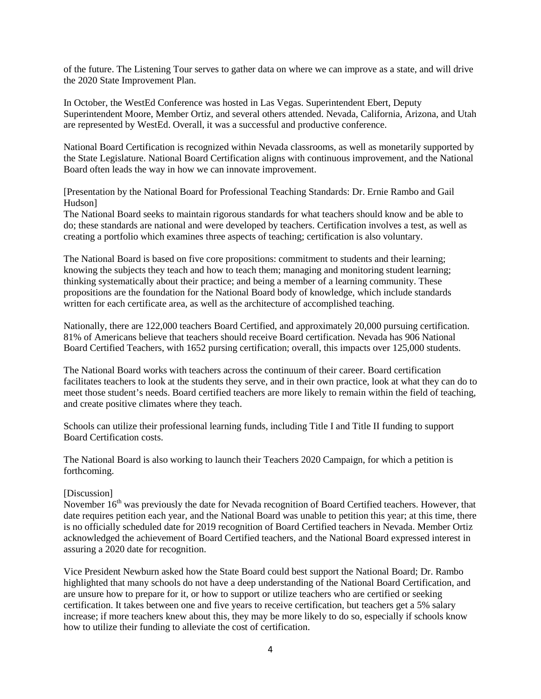of the future. The Listening Tour serves to gather data on where we can improve as a state, and will drive the 2020 State Improvement Plan.

In October, the WestEd Conference was hosted in Las Vegas. Superintendent Ebert, Deputy Superintendent Moore, Member Ortiz, and several others attended. Nevada, California, Arizona, and Utah are represented by WestEd. Overall, it was a successful and productive conference.

National Board Certification is recognized within Nevada classrooms, as well as monetarily supported by the State Legislature. National Board Certification aligns with continuous improvement, and the National Board often leads the way in how we can innovate improvement.

[Presentation by the National Board for Professional Teaching Standards: Dr. Ernie Rambo and Gail Hudson]

The National Board seeks to maintain rigorous standards for what teachers should know and be able to do; these standards are national and were developed by teachers. Certification involves a test, as well as creating a portfolio which examines three aspects of teaching; certification is also voluntary.

The National Board is based on five core propositions: commitment to students and their learning; knowing the subjects they teach and how to teach them; managing and monitoring student learning; thinking systematically about their practice; and being a member of a learning community. These propositions are the foundation for the National Board body of knowledge, which include standards written for each certificate area, as well as the architecture of accomplished teaching.

Nationally, there are 122,000 teachers Board Certified, and approximately 20,000 pursuing certification. 81% of Americans believe that teachers should receive Board certification. Nevada has 906 National Board Certified Teachers, with 1652 pursing certification; overall, this impacts over 125,000 students.

The National Board works with teachers across the continuum of their career. Board certification facilitates teachers to look at the students they serve, and in their own practice, look at what they can do to meet those student's needs. Board certified teachers are more likely to remain within the field of teaching, and create positive climates where they teach.

Schools can utilize their professional learning funds, including Title I and Title II funding to support Board Certification costs.

The National Board is also working to launch their Teachers 2020 Campaign, for which a petition is forthcoming.

## [Discussion]

November 16<sup>th</sup> was previously the date for Nevada recognition of Board Certified teachers. However, that date requires petition each year, and the National Board was unable to petition this year; at this time, there is no officially scheduled date for 2019 recognition of Board Certified teachers in Nevada. Member Ortiz acknowledged the achievement of Board Certified teachers, and the National Board expressed interest in assuring a 2020 date for recognition.

Vice President Newburn asked how the State Board could best support the National Board; Dr. Rambo highlighted that many schools do not have a deep understanding of the National Board Certification, and are unsure how to prepare for it, or how to support or utilize teachers who are certified or seeking certification. It takes between one and five years to receive certification, but teachers get a 5% salary increase; if more teachers knew about this, they may be more likely to do so, especially if schools know how to utilize their funding to alleviate the cost of certification.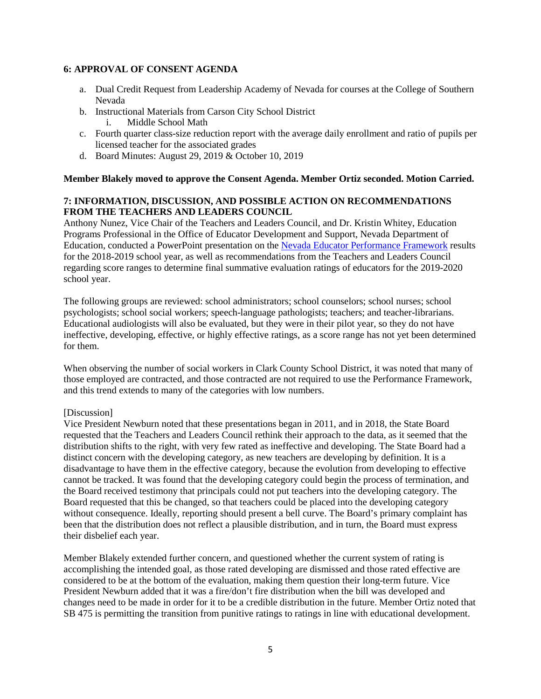### **6: APPROVAL OF CONSENT AGENDA**

- a. Dual Credit Request from Leadership Academy of Nevada for courses at the College of Southern Nevada
- b. Instructional Materials from Carson City School District i. Middle School Math
- c. Fourth quarter class-size reduction report with the average daily enrollment and ratio of pupils per licensed teacher for the associated grades
- d. Board Minutes: August 29, 2019 & October 10, 2019

### **Member Blakely moved to approve the Consent Agenda. Member Ortiz seconded. Motion Carried.**

## **7: INFORMATION, DISCUSSION, AND POSSIBLE ACTION ON RECOMMENDATIONS FROM THE TEACHERS AND LEADERS COUNCIL**

Anthony Nunez, Vice Chair of the Teachers and Leaders Council, and Dr. Kristin Whitey, Education Programs Professional in the Office of Educator Development and Support, Nevada Department of Education, conducted a PowerPoint presentation on the [Nevada Educator Performance Framework](http://www.doe.nv.gov/uploadedFiles/ndedoenvgov/content/Boards_Commissions_Councils/State_Board_of_Education/2019/November/SBETLCRecsNEPFScoreRanges.pdf) results for the 2018-2019 school year, as well as recommendations from the Teachers and Leaders Council regarding score ranges to determine final summative evaluation ratings of educators for the 2019-2020 school year.

The following groups are reviewed: school administrators; school counselors; school nurses; school psychologists; school social workers; speech-language pathologists; teachers; and teacher-librarians. Educational audiologists will also be evaluated, but they were in their pilot year, so they do not have ineffective, developing, effective, or highly effective ratings, as a score range has not yet been determined for them.

When observing the number of social workers in Clark County School District, it was noted that many of those employed are contracted, and those contracted are not required to use the Performance Framework, and this trend extends to many of the categories with low numbers.

### [Discussion]

Vice President Newburn noted that these presentations began in 2011, and in 2018, the State Board requested that the Teachers and Leaders Council rethink their approach to the data, as it seemed that the distribution shifts to the right, with very few rated as ineffective and developing. The State Board had a distinct concern with the developing category, as new teachers are developing by definition. It is a disadvantage to have them in the effective category, because the evolution from developing to effective cannot be tracked. It was found that the developing category could begin the process of termination, and the Board received testimony that principals could not put teachers into the developing category. The Board requested that this be changed, so that teachers could be placed into the developing category without consequence. Ideally, reporting should present a bell curve. The Board's primary complaint has been that the distribution does not reflect a plausible distribution, and in turn, the Board must express their disbelief each year.

Member Blakely extended further concern, and questioned whether the current system of rating is accomplishing the intended goal, as those rated developing are dismissed and those rated effective are considered to be at the bottom of the evaluation, making them question their long-term future. Vice President Newburn added that it was a fire/don't fire distribution when the bill was developed and changes need to be made in order for it to be a credible distribution in the future. Member Ortiz noted that SB 475 is permitting the transition from punitive ratings to ratings in line with educational development.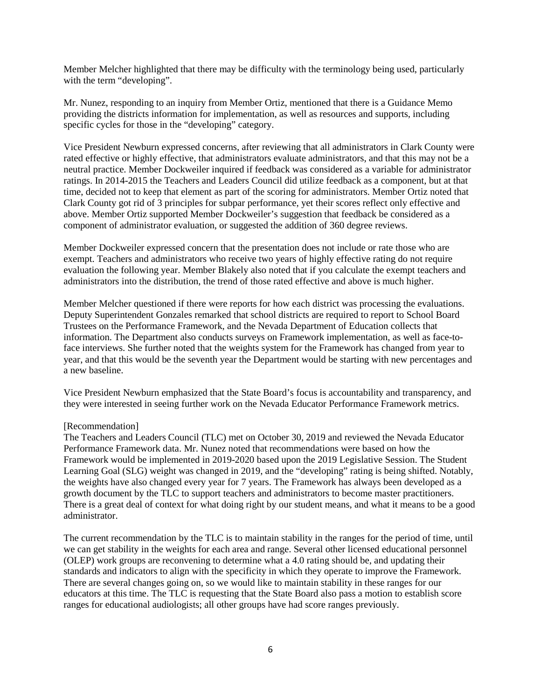Member Melcher highlighted that there may be difficulty with the terminology being used, particularly with the term "developing".

Mr. Nunez, responding to an inquiry from Member Ortiz, mentioned that there is a Guidance Memo providing the districts information for implementation, as well as resources and supports, including specific cycles for those in the "developing" category.

Vice President Newburn expressed concerns, after reviewing that all administrators in Clark County were rated effective or highly effective, that administrators evaluate administrators, and that this may not be a neutral practice. Member Dockweiler inquired if feedback was considered as a variable for administrator ratings. In 2014-2015 the Teachers and Leaders Council did utilize feedback as a component, but at that time, decided not to keep that element as part of the scoring for administrators. Member Ortiz noted that Clark County got rid of 3 principles for subpar performance, yet their scores reflect only effective and above. Member Ortiz supported Member Dockweiler's suggestion that feedback be considered as a component of administrator evaluation, or suggested the addition of 360 degree reviews.

Member Dockweiler expressed concern that the presentation does not include or rate those who are exempt. Teachers and administrators who receive two years of highly effective rating do not require evaluation the following year. Member Blakely also noted that if you calculate the exempt teachers and administrators into the distribution, the trend of those rated effective and above is much higher.

Member Melcher questioned if there were reports for how each district was processing the evaluations. Deputy Superintendent Gonzales remarked that school districts are required to report to School Board Trustees on the Performance Framework, and the Nevada Department of Education collects that information. The Department also conducts surveys on Framework implementation, as well as face-toface interviews. She further noted that the weights system for the Framework has changed from year to year, and that this would be the seventh year the Department would be starting with new percentages and a new baseline.

Vice President Newburn emphasized that the State Board's focus is accountability and transparency, and they were interested in seeing further work on the Nevada Educator Performance Framework metrics.

### [Recommendation]

The Teachers and Leaders Council (TLC) met on October 30, 2019 and reviewed the Nevada Educator Performance Framework data. Mr. Nunez noted that recommendations were based on how the Framework would be implemented in 2019-2020 based upon the 2019 Legislative Session. The Student Learning Goal (SLG) weight was changed in 2019, and the "developing" rating is being shifted. Notably, the weights have also changed every year for 7 years. The Framework has always been developed as a growth document by the TLC to support teachers and administrators to become master practitioners. There is a great deal of context for what doing right by our student means, and what it means to be a good administrator.

The current recommendation by the TLC is to maintain stability in the ranges for the period of time, until we can get stability in the weights for each area and range. Several other licensed educational personnel (OLEP) work groups are reconvening to determine what a 4.0 rating should be, and updating their standards and indicators to align with the specificity in which they operate to improve the Framework. There are several changes going on, so we would like to maintain stability in these ranges for our educators at this time. The TLC is requesting that the State Board also pass a motion to establish score ranges for educational audiologists; all other groups have had score ranges previously.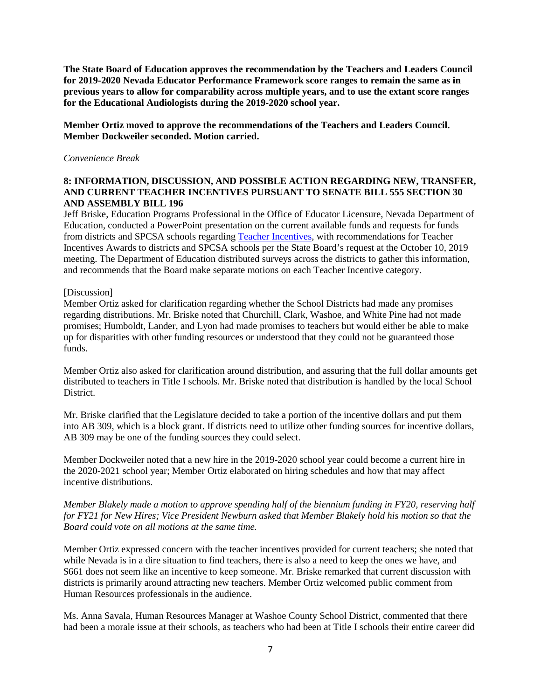**The State Board of Education approves the recommendation by the Teachers and Leaders Council for 2019-2020 Nevada Educator Performance Framework score ranges to remain the same as in previous years to allow for comparability across multiple years, and to use the extant score ranges for the Educational Audiologists during the 2019-2020 school year.** 

**Member Ortiz moved to approve the recommendations of the Teachers and Leaders Council. Member Dockweiler seconded. Motion carried.** 

### *Convenience Break*

## **8: INFORMATION, DISCUSSION, AND POSSIBLE ACTION REGARDING NEW, TRANSFER, AND CURRENT TEACHER INCENTIVES PURSUANT TO SENATE BILL 555 SECTION 30 AND ASSEMBLY BILL 196**

Jeff Briske, Education Programs Professional in the Office of Educator Licensure, Nevada Department of Education, conducted a PowerPoint presentation on the current available funds and requests for funds from districts and SPCSA schools regarding [Teacher Incentives,](http://www.doe.nv.gov/uploadedFiles/ndedoenvgov/content/Boards_Commissions_Councils/State_Board_of_Education/2019/November/Item8-TeacherIncentives.pdf) with recommendations for Teacher Incentives Awards to districts and SPCSA schools per the State Board's request at the October 10, 2019 meeting. The Department of Education distributed surveys across the districts to gather this information, and recommends that the Board make separate motions on each Teacher Incentive category.

### [Discussion]

Member Ortiz asked for clarification regarding whether the School Districts had made any promises regarding distributions. Mr. Briske noted that Churchill, Clark, Washoe, and White Pine had not made promises; Humboldt, Lander, and Lyon had made promises to teachers but would either be able to make up for disparities with other funding resources or understood that they could not be guaranteed those funds.

Member Ortiz also asked for clarification around distribution, and assuring that the full dollar amounts get distributed to teachers in Title I schools. Mr. Briske noted that distribution is handled by the local School **District** 

Mr. Briske clarified that the Legislature decided to take a portion of the incentive dollars and put them into AB 309, which is a block grant. If districts need to utilize other funding sources for incentive dollars, AB 309 may be one of the funding sources they could select.

Member Dockweiler noted that a new hire in the 2019-2020 school year could become a current hire in the 2020-2021 school year; Member Ortiz elaborated on hiring schedules and how that may affect incentive distributions.

*Member Blakely made a motion to approve spending half of the biennium funding in FY20, reserving half for FY21 for New Hires; Vice President Newburn asked that Member Blakely hold his motion so that the Board could vote on all motions at the same time.* 

Member Ortiz expressed concern with the teacher incentives provided for current teachers; she noted that while Nevada is in a dire situation to find teachers, there is also a need to keep the ones we have, and \$661 does not seem like an incentive to keep someone. Mr. Briske remarked that current discussion with districts is primarily around attracting new teachers. Member Ortiz welcomed public comment from Human Resources professionals in the audience.

Ms. Anna Savala, Human Resources Manager at Washoe County School District, commented that there had been a morale issue at their schools, as teachers who had been at Title I schools their entire career did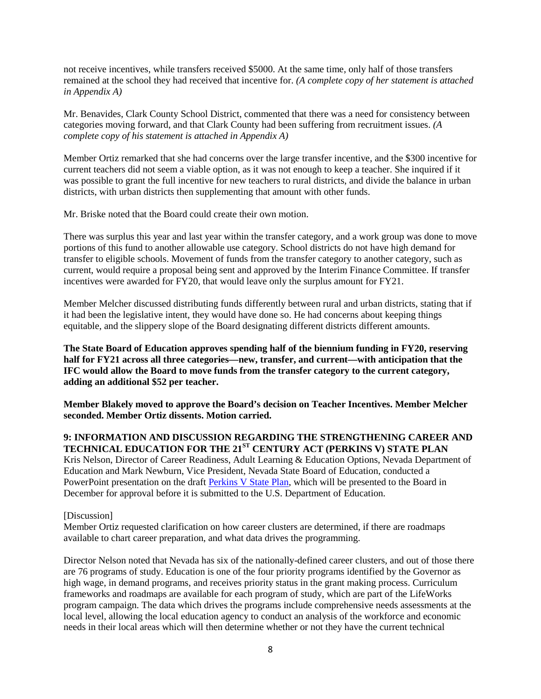not receive incentives, while transfers received \$5000. At the same time, only half of those transfers remained at the school they had received that incentive for. *(A complete copy of her statement is attached in Appendix A)* 

Mr. Benavides, Clark County School District, commented that there was a need for consistency between categories moving forward, and that Clark County had been suffering from recruitment issues. *(A complete copy of his statement is attached in Appendix A)*

Member Ortiz remarked that she had concerns over the large transfer incentive, and the \$300 incentive for current teachers did not seem a viable option, as it was not enough to keep a teacher. She inquired if it was possible to grant the full incentive for new teachers to rural districts, and divide the balance in urban districts, with urban districts then supplementing that amount with other funds.

Mr. Briske noted that the Board could create their own motion.

There was surplus this year and last year within the transfer category, and a work group was done to move portions of this fund to another allowable use category. School districts do not have high demand for transfer to eligible schools. Movement of funds from the transfer category to another category, such as current, would require a proposal being sent and approved by the Interim Finance Committee. If transfer incentives were awarded for FY20, that would leave only the surplus amount for FY21.

Member Melcher discussed distributing funds differently between rural and urban districts, stating that if it had been the legislative intent, they would have done so. He had concerns about keeping things equitable, and the slippery slope of the Board designating different districts different amounts.

**The State Board of Education approves spending half of the biennium funding in FY20, reserving half for FY21 across all three categories—new, transfer, and current—with anticipation that the IFC would allow the Board to move funds from the transfer category to the current category, adding an additional \$52 per teacher.** 

**Member Blakely moved to approve the Board's decision on Teacher Incentives. Member Melcher seconded. Member Ortiz dissents. Motion carried.** 

**9: INFORMATION AND DISCUSSION REGARDING THE STRENGTHENING CAREER AND TECHNICAL EDUCATION FOR THE 21ST CENTURY ACT (PERKINS V) STATE PLAN**  Kris Nelson, Director of Career Readiness, Adult Learning & Education Options, Nevada Department of Education and Mark Newburn, Vice President, Nevada State Board of Education, conducted a PowerPoint presentation on the draft [Perkins V State Plan,](http://www.doe.nv.gov/uploadedFiles/ndedoenvgov/content/Boards_Commissions_Councils/State_Board_of_Education/2019/November/PERKINSPresentationrev.pdf) which will be presented to the Board in December for approval before it is submitted to the U.S. Department of Education.

### [Discussion]

Member Ortiz requested clarification on how career clusters are determined, if there are roadmaps available to chart career preparation, and what data drives the programming.

Director Nelson noted that Nevada has six of the nationally-defined career clusters, and out of those there are 76 programs of study. Education is one of the four priority programs identified by the Governor as high wage, in demand programs, and receives priority status in the grant making process. Curriculum frameworks and roadmaps are available for each program of study, which are part of the LifeWorks program campaign. The data which drives the programs include comprehensive needs assessments at the local level, allowing the local education agency to conduct an analysis of the workforce and economic needs in their local areas which will then determine whether or not they have the current technical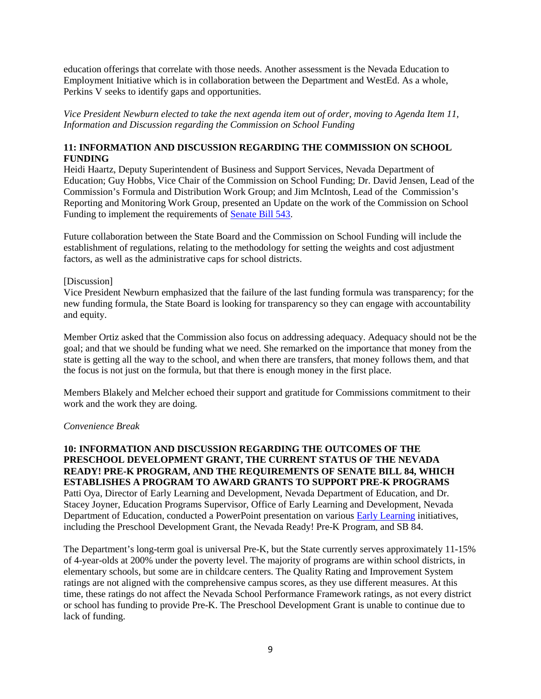education offerings that correlate with those needs. Another assessment is the Nevada Education to Employment Initiative which is in collaboration between the Department and WestEd. As a whole, Perkins V seeks to identify gaps and opportunities.

*Vice President Newburn elected to take the next agenda item out of order, moving to Agenda Item 11, Information and Discussion regarding the Commission on School Funding* 

# **11: INFORMATION AND DISCUSSION REGARDING THE COMMISSION ON SCHOOL FUNDING**

Heidi Haartz, Deputy Superintendent of Business and Support Services, Nevada Department of Education; Guy Hobbs, Vice Chair of the Commission on School Funding; Dr. David Jensen, Lead of the Commission's Formula and Distribution Work Group; and Jim McIntosh, Lead of the Commission's Reporting and Monitoring Work Group, presented an Update on the work of the Commission on School Funding to implement the requirements of [Senate Bill 543.](http://www.doe.nv.gov/uploadedFiles/ndedoenvgov/content/Boards_Commissions_Councils/State_Board_of_Education/2019/November/SB543ImplementationUpdate.pdf)

Future collaboration between the State Board and the Commission on School Funding will include the establishment of regulations, relating to the methodology for setting the weights and cost adjustment factors, as well as the administrative caps for school districts.

### [Discussion]

Vice President Newburn emphasized that the failure of the last funding formula was transparency; for the new funding formula, the State Board is looking for transparency so they can engage with accountability and equity.

Member Ortiz asked that the Commission also focus on addressing adequacy. Adequacy should not be the goal; and that we should be funding what we need. She remarked on the importance that money from the state is getting all the way to the school, and when there are transfers, that money follows them, and that the focus is not just on the formula, but that there is enough money in the first place.

Members Blakely and Melcher echoed their support and gratitude for Commissions commitment to their work and the work they are doing.

### *Convenience Break*

**10: INFORMATION AND DISCUSSION REGARDING THE OUTCOMES OF THE PRESCHOOL DEVELOPMENT GRANT, THE CURRENT STATUS OF THE NEVADA READY! PRE-K PROGRAM, AND THE REQUIREMENTS OF SENATE BILL 84, WHICH ESTABLISHES A PROGRAM TO AWARD GRANTS TO SUPPORT PRE-K PROGRAMS** Patti Oya, Director of Early Learning and Development, Nevada Department of Education, and Dr. Stacey Joyner, Education Programs Supervisor, Office of Early Learning and Development, Nevada Department of Education, conducted a PowerPoint presentation on variou[s Early Learning](http://www.doe.nv.gov/uploadedFiles/ndedoenvgov/content/Boards_Commissions_Councils/State_Board_of_Education/2019/November/EarlyLearningPPT.pdf) initiatives, including the Preschool Development Grant, the Nevada Ready! Pre-K Program, and SB 84.

The Department's long-term goal is universal Pre-K, but the State currently serves approximately 11-15% of 4-year-olds at 200% under the poverty level. The majority of programs are within school districts, in elementary schools, but some are in childcare centers. The Quality Rating and Improvement System ratings are not aligned with the comprehensive campus scores, as they use different measures. At this time, these ratings do not affect the Nevada School Performance Framework ratings, as not every district or school has funding to provide Pre-K. The Preschool Development Grant is unable to continue due to lack of funding.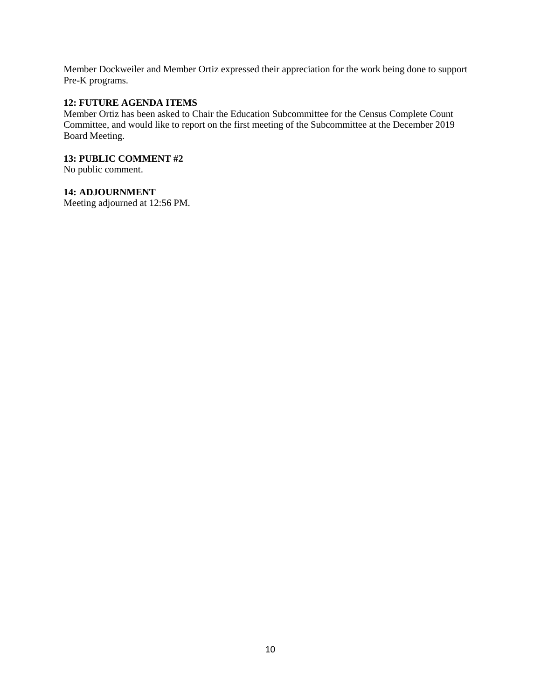Member Dockweiler and Member Ortiz expressed their appreciation for the work being done to support Pre-K programs.

## **12: FUTURE AGENDA ITEMS**

Member Ortiz has been asked to Chair the Education Subcommittee for the Census Complete Count Committee, and would like to report on the first meeting of the Subcommittee at the December 2019 Board Meeting.

## **13: PUBLIC COMMENT #2**

No public comment.

## **14: ADJOURNMENT**

Meeting adjourned at 12:56 PM.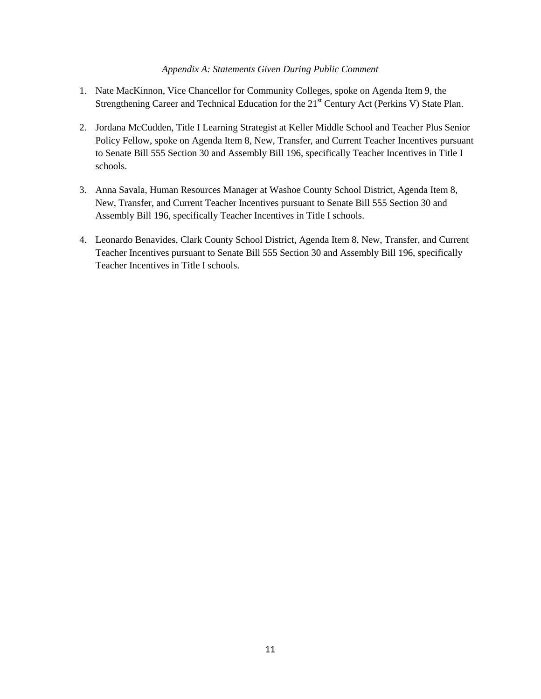### *Appendix A: Statements Given During Public Comment*

- 1. Nate MacKinnon, Vice Chancellor for Community Colleges, spoke on Agenda Item 9, the Strengthening Career and Technical Education for the 21<sup>st</sup> Century Act (Perkins V) State Plan.
- 2. Jordana McCudden, Title I Learning Strategist at Keller Middle School and Teacher Plus Senior Policy Fellow, spoke on Agenda Item 8, New, Transfer, and Current Teacher Incentives pursuant to Senate Bill 555 Section 30 and Assembly Bill 196, specifically Teacher Incentives in Title I schools.
- 3. Anna Savala, Human Resources Manager at Washoe County School District, Agenda Item 8, New, Transfer, and Current Teacher Incentives pursuant to Senate Bill 555 Section 30 and Assembly Bill 196, specifically Teacher Incentives in Title I schools.
- 4. Leonardo Benavides, Clark County School District, Agenda Item 8, New, Transfer, and Current Teacher Incentives pursuant to Senate Bill 555 Section 30 and Assembly Bill 196, specifically Teacher Incentives in Title I schools.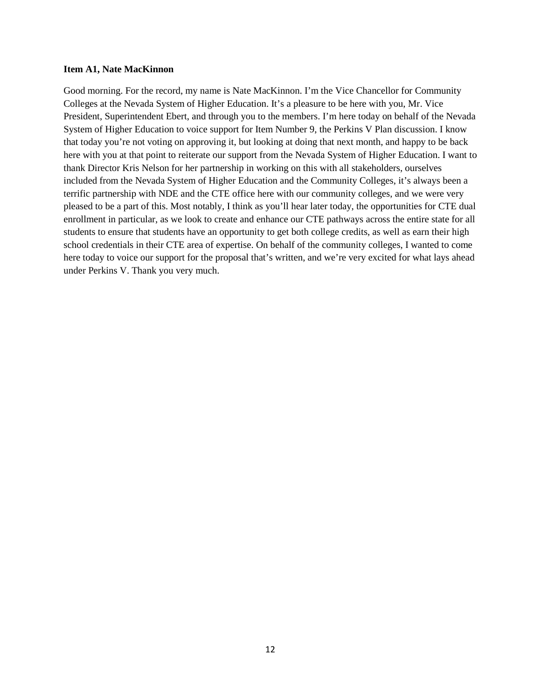#### **Item A1, Nate MacKinnon**

Good morning. For the record, my name is Nate MacKinnon. I'm the Vice Chancellor for Community Colleges at the Nevada System of Higher Education. It's a pleasure to be here with you, Mr. Vice President, Superintendent Ebert, and through you to the members. I'm here today on behalf of the Nevada System of Higher Education to voice support for Item Number 9, the Perkins V Plan discussion. I know that today you're not voting on approving it, but looking at doing that next month, and happy to be back here with you at that point to reiterate our support from the Nevada System of Higher Education. I want to thank Director Kris Nelson for her partnership in working on this with all stakeholders, ourselves included from the Nevada System of Higher Education and the Community Colleges, it's always been a terrific partnership with NDE and the CTE office here with our community colleges, and we were very pleased to be a part of this. Most notably, I think as you'll hear later today, the opportunities for CTE dual enrollment in particular, as we look to create and enhance our CTE pathways across the entire state for all students to ensure that students have an opportunity to get both college credits, as well as earn their high school credentials in their CTE area of expertise. On behalf of the community colleges, I wanted to come here today to voice our support for the proposal that's written, and we're very excited for what lays ahead under Perkins V. Thank you very much.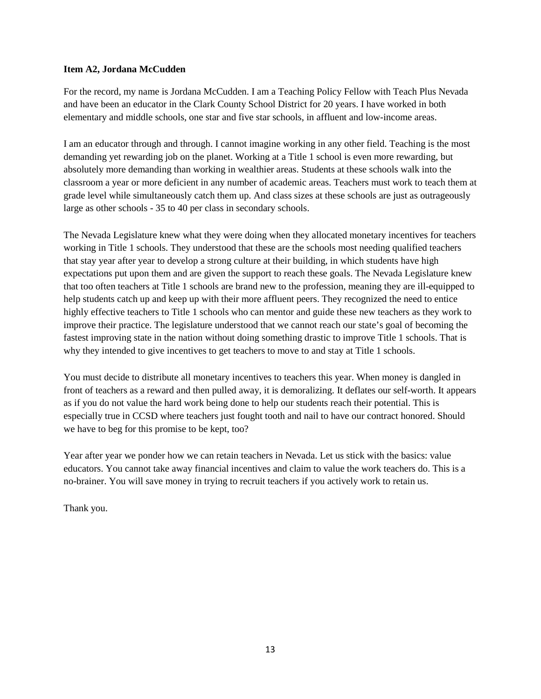## **Item A2, Jordana McCudden**

For the record, my name is Jordana McCudden. I am a Teaching Policy Fellow with Teach Plus Nevada and have been an educator in the Clark County School District for 20 years. I have worked in both elementary and middle schools, one star and five star schools, in affluent and low-income areas.

I am an educator through and through. I cannot imagine working in any other field. Teaching is the most demanding yet rewarding job on the planet. Working at a Title 1 school is even more rewarding, but absolutely more demanding than working in wealthier areas. Students at these schools walk into the classroom a year or more deficient in any number of academic areas. Teachers must work to teach them at grade level while simultaneously catch them up. And class sizes at these schools are just as outrageously large as other schools - 35 to 40 per class in secondary schools.

The Nevada Legislature knew what they were doing when they allocated monetary incentives for teachers working in Title 1 schools. They understood that these are the schools most needing qualified teachers that stay year after year to develop a strong culture at their building, in which students have high expectations put upon them and are given the support to reach these goals. The Nevada Legislature knew that too often teachers at Title 1 schools are brand new to the profession, meaning they are ill-equipped to help students catch up and keep up with their more affluent peers. They recognized the need to entice highly effective teachers to Title 1 schools who can mentor and guide these new teachers as they work to improve their practice. The legislature understood that we cannot reach our state's goal of becoming the fastest improving state in the nation without doing something drastic to improve Title 1 schools. That is why they intended to give incentives to get teachers to move to and stay at Title 1 schools.

You must decide to distribute all monetary incentives to teachers this year. When money is dangled in front of teachers as a reward and then pulled away, it is demoralizing. It deflates our self-worth. It appears as if you do not value the hard work being done to help our students reach their potential. This is especially true in CCSD where teachers just fought tooth and nail to have our contract honored. Should we have to beg for this promise to be kept, too?

Year after year we ponder how we can retain teachers in Nevada. Let us stick with the basics: value educators. You cannot take away financial incentives and claim to value the work teachers do. This is a no-brainer. You will save money in trying to recruit teachers if you actively work to retain us.

Thank you.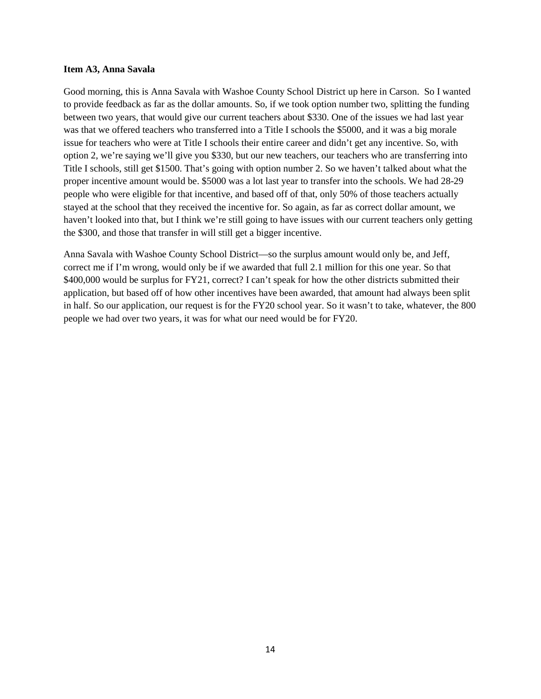#### **Item A3, Anna Savala**

Good morning, this is Anna Savala with Washoe County School District up here in Carson. So I wanted to provide feedback as far as the dollar amounts. So, if we took option number two, splitting the funding between two years, that would give our current teachers about \$330. One of the issues we had last year was that we offered teachers who transferred into a Title I schools the \$5000, and it was a big morale issue for teachers who were at Title I schools their entire career and didn't get any incentive. So, with option 2, we're saying we'll give you \$330, but our new teachers, our teachers who are transferring into Title I schools, still get \$1500. That's going with option number 2. So we haven't talked about what the proper incentive amount would be. \$5000 was a lot last year to transfer into the schools. We had 28-29 people who were eligible for that incentive, and based off of that, only 50% of those teachers actually stayed at the school that they received the incentive for. So again, as far as correct dollar amount, we haven't looked into that, but I think we're still going to have issues with our current teachers only getting the \$300, and those that transfer in will still get a bigger incentive.

Anna Savala with Washoe County School District—so the surplus amount would only be, and Jeff, correct me if I'm wrong, would only be if we awarded that full 2.1 million for this one year. So that \$400,000 would be surplus for FY21, correct? I can't speak for how the other districts submitted their application, but based off of how other incentives have been awarded, that amount had always been split in half. So our application, our request is for the FY20 school year. So it wasn't to take, whatever, the 800 people we had over two years, it was for what our need would be for FY20.